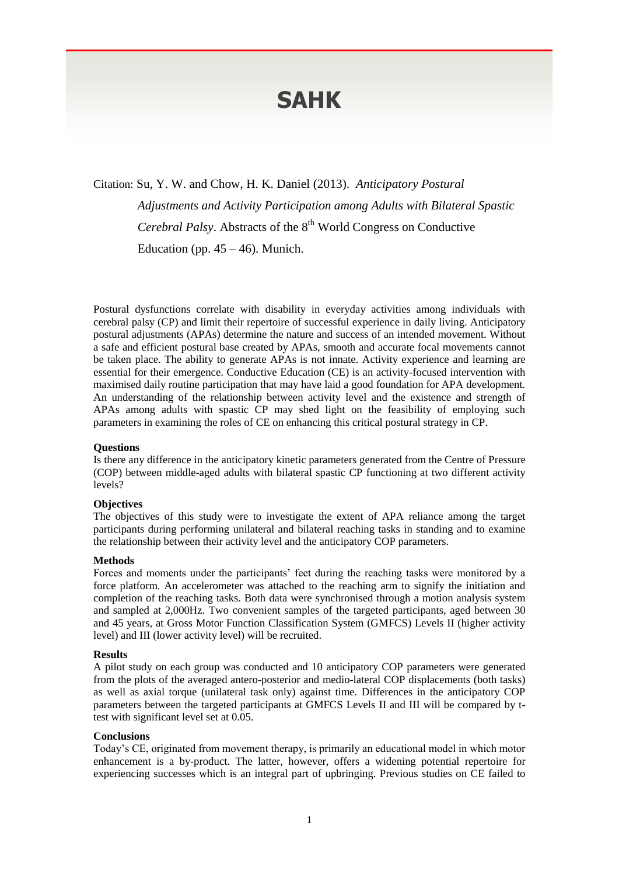# **SAHK**

Citation: Su, Y. W. and Chow, H. K. Daniel (2013). *Anticipatory Postural* 

*Adjustments and Activity Participation among Adults with Bilateral Spastic* 

Cerebral Palsy. Abstracts of the 8<sup>th</sup> World Congress on Conductive

Education (pp.  $45 - 46$ ). Munich.

Postural dysfunctions correlate with disability in everyday activities among individuals with cerebral palsy (CP) and limit their repertoire of successful experience in daily living. Anticipatory postural adjustments (APAs) determine the nature and success of an intended movement. Without a safe and efficient postural base created by APAs, smooth and accurate focal movements cannot be taken place. The ability to generate APAs is not innate. Activity experience and learning are essential for their emergence. Conductive Education (CE) is an activity-focused intervention with maximised daily routine participation that may have laid a good foundation for APA development. An understanding of the relationship between activity level and the existence and strength of APAs among adults with spastic CP may shed light on the feasibility of employing such parameters in examining the roles of CE on enhancing this critical postural strategy in CP.

## **Questions**

Is there any difference in the anticipatory kinetic parameters generated from the Centre of Pressure (COP) between middle-aged adults with bilateral spastic CP functioning at two different activity levels?

## **Objectives**

The objectives of this study were to investigate the extent of APA reliance among the target participants during performing unilateral and bilateral reaching tasks in standing and to examine the relationship between their activity level and the anticipatory COP parameters.

## **Methods**

Forces and moments under the participants' feet during the reaching tasks were monitored by a force platform. An accelerometer was attached to the reaching arm to signify the initiation and completion of the reaching tasks. Both data were synchronised through a motion analysis system and sampled at 2,000Hz. Two convenient samples of the targeted participants, aged between 30 and 45 years, at Gross Motor Function Classification System (GMFCS) Levels II (higher activity level) and III (lower activity level) will be recruited.

## **Results**

A pilot study on each group was conducted and 10 anticipatory COP parameters were generated from the plots of the averaged antero-posterior and medio-lateral COP displacements (both tasks) as well as axial torque (unilateral task only) against time. Differences in the anticipatory COP parameters between the targeted participants at GMFCS Levels II and III will be compared by ttest with significant level set at 0.05.

## **Conclusions**

Today's CE, originated from movement therapy, is primarily an educational model in which motor enhancement is a by-product. The latter, however, offers a widening potential repertoire for experiencing successes which is an integral part of upbringing. Previous studies on CE failed to